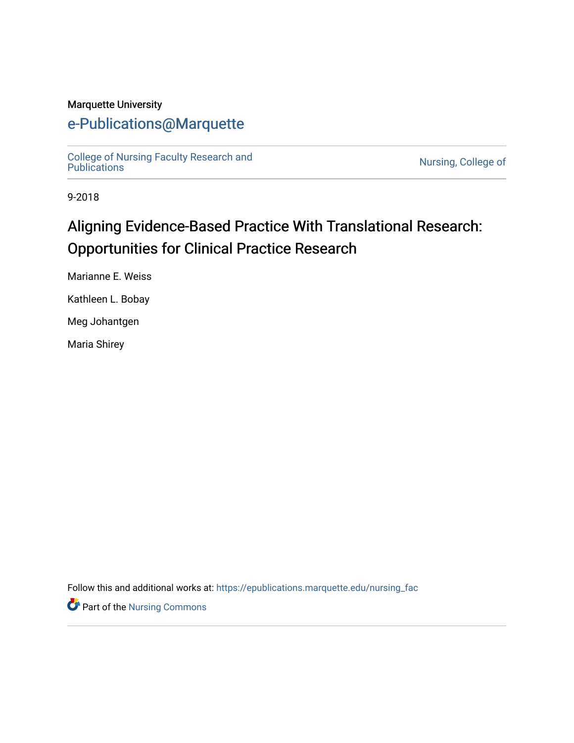#### Marquette University

## [e-Publications@Marquette](https://epublications.marquette.edu/)

[College of Nursing Faculty Research and](https://epublications.marquette.edu/nursing_fac)<br>Publications

Nursing, College of

9-2018

# Aligning Evidence-Based Practice With Translational Research: Opportunities for Clinical Practice Research

Marianne E. Weiss

Kathleen L. Bobay

Meg Johantgen

Maria Shirey

Follow this and additional works at: [https://epublications.marquette.edu/nursing\\_fac](https://epublications.marquette.edu/nursing_fac?utm_source=epublications.marquette.edu%2Fnursing_fac%2F605&utm_medium=PDF&utm_campaign=PDFCoverPages)

Part of the [Nursing Commons](http://network.bepress.com/hgg/discipline/718?utm_source=epublications.marquette.edu%2Fnursing_fac%2F605&utm_medium=PDF&utm_campaign=PDFCoverPages)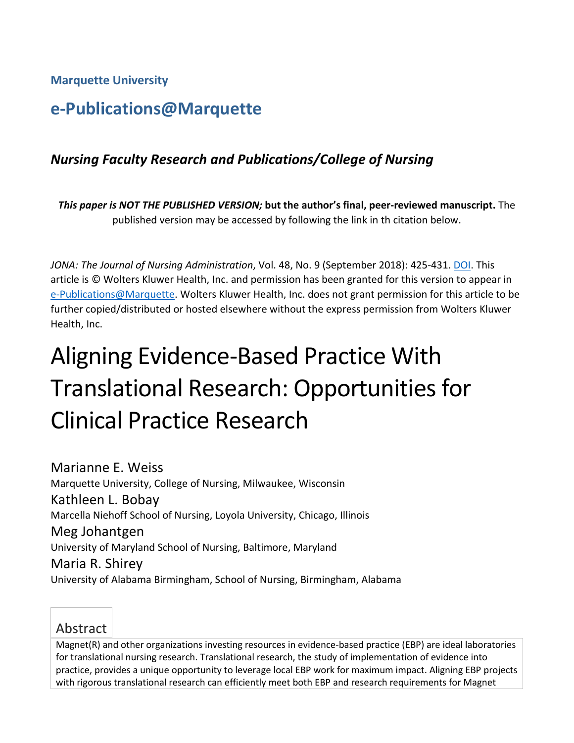**Marquette University**

## **e-Publications@Marquette**

### *Nursing Faculty Research and Publications/College of Nursing*

*This paper is NOT THE PUBLISHED VERSION;* **but the author's final, peer-reviewed manuscript.** The published version may be accessed by following the link in th citation below.

*JONA: The Journal of Nursing Administration*, Vol. 48, No. 9 (September 2018): 425-431. [DOI.](https://doi.org/10.1097/NNA.0000000000000644) This article is © Wolters Kluwer Health, Inc. and permission has been granted for this version to appear in [e-Publications@Marquette.](http://epublications.marquette.edu/) Wolters Kluwer Health, Inc. does not grant permission for this article to be further copied/distributed or hosted elsewhere without the express permission from Wolters Kluwer Health, Inc.

# Aligning Evidence-Based Practice With Translational Research: Opportunities for Clinical Practice Research

Marianne E. Weiss Marquette University, College of Nursing, Milwaukee, Wisconsin Kathleen L. Bobay Marcella Niehoff School of Nursing, Loyola University, Chicago, Illinois Meg Johantgen University of Maryland School of Nursing, Baltimore, Maryland Maria R. Shirey University of Alabama Birmingham, School of Nursing, Birmingham, Alabama



Magnet(R) and other organizations investing resources in evidence-based practice (EBP) are ideal laboratories for translational nursing research. Translational research, the study of implementation of evidence into practice, provides a unique opportunity to leverage local EBP work for maximum impact. Aligning EBP projects with rigorous translational research can efficiently meet both EBP and research requirements for Magnet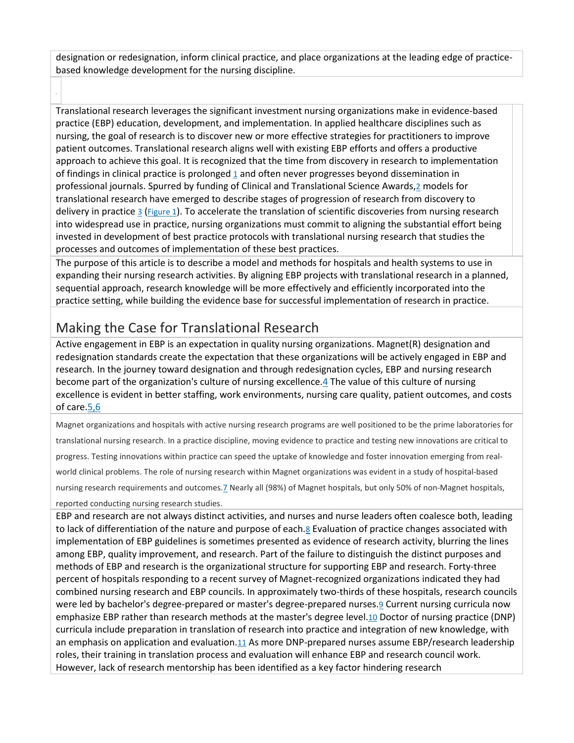designation or redesignation, inform clinical practice, and place organizations at the leading edge of practicebased knowledge development for the nursing discipline.

Translational research leverages the significant investment nursing organizations make in evidence-based practice (EBP) education, development, and implementation. In applied healthcare disciplines such as nursing, the goal of research is to discover new or more effective strategies for practitioners to improve patient outcomes. Translational research aligns well with existing EBP efforts and offers a productive approach to achieve this goal. It is recognized that the time from discovery in research to implementation of findings in clinical practice is prolonged [1](http://ovidsp.dc2.ovid.com/sp-4.02.1a/ovidweb.cgi?QS2=434f4e1a73d37e8c8b4417a0ea17b7da4aa537ebc314ce058e16cd474e7aa58074b0355e33aaf0d05419584349ddd79d2084ca8b9d970512f22d0ca70de9927ee6e7fdacb8c97b0fc357a3997f717b162a5736ceceb32d4969f5be82faa330c19db2d42e244c2fcaac8e03385501a75a02aab232075359542f62561eda5f3b038f44b37cbf664fc057c6a6798ae942585e9d4633df16880d943a64d6ae4faa21255ad60ae4c3120f3160b6adf08cb653c8d70981cc889c092e45d1026f13ddeea05d6487faefa1c94b3d259cda08ec212facf975fd770eadba38996bf2c8638b4ecd6cc9f37197657190888ad2c877072f75d546ed30a379#52) and often never progresses beyond dissemination in professional journals. Spurred by funding of Clinical and Translational Science Awards[,2](http://ovidsp.dc2.ovid.com/sp-4.02.1a/ovidweb.cgi?QS2=434f4e1a73d37e8c8b4417a0ea17b7da4aa537ebc314ce058e16cd474e7aa58074b0355e33aaf0d05419584349ddd79d2084ca8b9d970512f22d0ca70de9927ee6e7fdacb8c97b0fc357a3997f717b162a5736ceceb32d4969f5be82faa330c19db2d42e244c2fcaac8e03385501a75a02aab232075359542f62561eda5f3b038f44b37cbf664fc057c6a6798ae942585e9d4633df16880d943a64d6ae4faa21255ad60ae4c3120f3160b6adf08cb653c8d70981cc889c092e45d1026f13ddeea05d6487faefa1c94b3d259cda08ec212facf975fd770eadba38996bf2c8638b4ecd6cc9f37197657190888ad2c877072f75d546ed30a379#53) models for translational research have emerged to describe stages of progression of research from discovery to delivery in practice  $\frac{3}{2}$  $\frac{3}{2}$  $\frac{3}{2}$  [\(Figure 1\)](http://ovidsp.dc2.ovid.com/sp-4.02.1a/ovidweb.cgi?QS2=434f4e1a73d37e8c8b4417a0ea17b7da4aa537ebc314ce058e16cd474e7aa58074b0355e33aaf0d05419584349ddd79d2084ca8b9d970512f22d0ca70de9927ee6e7fdacb8c97b0fc357a3997f717b162a5736ceceb32d4969f5be82faa330c19db2d42e244c2fcaac8e03385501a75a02aab232075359542f62561eda5f3b038f44b37cbf664fc057c6a6798ae942585e9d4633df16880d943a64d6ae4faa21255ad60ae4c3120f3160b6adf08cb653c8d70981cc889c092e45d1026f13ddeea05d6487faefa1c94b3d259cda08ec212facf975fd770eadba38996bf2c8638b4ecd6cc9f37197657190888ad2c877072f75d546ed30a379#FF1). To accelerate the translation of scientific discoveries from nursing research into widespread use in practice, nursing organizations must commit to aligning the substantial effort being invested in development of best practice protocols with translational nursing research that studies the processes and outcomes of implementation of these best practices.

The purpose of this article is to describe a model and methods for hospitals and health systems to use in expanding their nursing research activities. By aligning EBP projects with translational research in a planned, sequential approach, research knowledge will be more effectively and efficiently incorporated into the practice setting, while building the evidence base for successful implementation of research in practice.

## Making the Case for Translational Research

Active engagement in EBP is an expectation in quality nursing organizations. Magnet(R) designation and redesignation standards create the expectation that these organizations will be actively engaged in EBP and research. In the journey toward designation and through redesignation cycles, EBP and nursing research become part of the organization's culture of nursing excellence[.4](http://ovidsp.dc2.ovid.com/sp-4.02.1a/ovidweb.cgi?QS2=434f4e1a73d37e8c8b4417a0ea17b7da4aa537ebc314ce058e16cd474e7aa58074b0355e33aaf0d05419584349ddd79d2084ca8b9d970512f22d0ca70de9927ee6e7fdacb8c97b0fc357a3997f717b162a5736ceceb32d4969f5be82faa330c19db2d42e244c2fcaac8e03385501a75a02aab232075359542f62561eda5f3b038f44b37cbf664fc057c6a6798ae942585e9d4633df16880d943a64d6ae4faa21255ad60ae4c3120f3160b6adf08cb653c8d70981cc889c092e45d1026f13ddeea05d6487faefa1c94b3d259cda08ec212facf975fd770eadba38996bf2c8638b4ecd6cc9f37197657190888ad2c877072f75d546ed30a379#55) The value of this culture of nursing excellence is evident in better staffing, work environments, nursing care quality, patient outcomes, and costs of care[.5,6](http://ovidsp.dc2.ovid.com/sp-4.02.1a/ovidweb.cgi?QS2=434f4e1a73d37e8c8b4417a0ea17b7da4aa537ebc314ce058e16cd474e7aa58074b0355e33aaf0d05419584349ddd79d2084ca8b9d970512f22d0ca70de9927ee6e7fdacb8c97b0fc357a3997f717b162a5736ceceb32d4969f5be82faa330c19db2d42e244c2fcaac8e03385501a75a02aab232075359542f62561eda5f3b038f44b37cbf664fc057c6a6798ae942585e9d4633df16880d943a64d6ae4faa21255ad60ae4c3120f3160b6adf08cb653c8d70981cc889c092e45d1026f13ddeea05d6487faefa1c94b3d259cda08ec212facf975fd770eadba38996bf2c8638b4ecd6cc9f37197657190888ad2c877072f75d546ed30a379#56)

Magnet organizations and hospitals with active nursing research programs are well positioned to be the prime laboratories for translational nursing research. In a practice discipline, moving evidence to practice and testing new innovations are critical to progress. Testing innovations within practice can speed the uptake of knowledge and foster innovation emerging from realworld clinical problems. The role of nursing research within Magnet organizations was evident in a study of hospital-based nursing research requirements and outcomes[.7](http://ovidsp.dc2.ovid.com/sp-4.02.1a/ovidweb.cgi?QS2=434f4e1a73d37e8c8b4417a0ea17b7da4aa537ebc314ce058e16cd474e7aa58074b0355e33aaf0d05419584349ddd79d2084ca8b9d970512f22d0ca70de9927ee6e7fdacb8c97b0fc357a3997f717b162a5736ceceb32d4969f5be82faa330c19db2d42e244c2fcaac8e03385501a75a02aab232075359542f62561eda5f3b038f44b37cbf664fc057c6a6798ae942585e9d4633df16880d943a64d6ae4faa21255ad60ae4c3120f3160b6adf08cb653c8d70981cc889c092e45d1026f13ddeea05d6487faefa1c94b3d259cda08ec212facf975fd770eadba38996bf2c8638b4ecd6cc9f37197657190888ad2c877072f75d546ed30a379#58) Nearly all (98%) of Magnet hospitals, but only 50% of non-Magnet hospitals,

#### reported conducting nursing research studies.

EBP and research are not always distinct activities, and nurses and nurse leaders often coalesce both, leading to lack of differentiation of the nature and purpose of each[.8](http://ovidsp.dc2.ovid.com/sp-4.02.1a/ovidweb.cgi?QS2=434f4e1a73d37e8c8b4417a0ea17b7da4aa537ebc314ce058e16cd474e7aa58074b0355e33aaf0d05419584349ddd79d2084ca8b9d970512f22d0ca70de9927ee6e7fdacb8c97b0fc357a3997f717b162a5736ceceb32d4969f5be82faa330c19db2d42e244c2fcaac8e03385501a75a02aab232075359542f62561eda5f3b038f44b37cbf664fc057c6a6798ae942585e9d4633df16880d943a64d6ae4faa21255ad60ae4c3120f3160b6adf08cb653c8d70981cc889c092e45d1026f13ddeea05d6487faefa1c94b3d259cda08ec212facf975fd770eadba38996bf2c8638b4ecd6cc9f37197657190888ad2c877072f75d546ed30a379#59) Evaluation of practice changes associated with implementation of EBP guidelines is sometimes presented as evidence of research activity, blurring the lines among EBP, quality improvement, and research. Part of the failure to distinguish the distinct purposes and methods of EBP and research is the organizational structure for supporting EBP and research. Forty-three percent of hospitals responding to a recent survey of Magnet-recognized organizations indicated they had combined nursing research and EBP councils. In approximately two-thirds of these hospitals, research councils were led by bachelor's degree-prepared or master's degree-prepared nurses[.9](http://ovidsp.dc2.ovid.com/sp-4.02.1a/ovidweb.cgi?QS2=434f4e1a73d37e8c8b4417a0ea17b7da4aa537ebc314ce058e16cd474e7aa58074b0355e33aaf0d05419584349ddd79d2084ca8b9d970512f22d0ca70de9927ee6e7fdacb8c97b0fc357a3997f717b162a5736ceceb32d4969f5be82faa330c19db2d42e244c2fcaac8e03385501a75a02aab232075359542f62561eda5f3b038f44b37cbf664fc057c6a6798ae942585e9d4633df16880d943a64d6ae4faa21255ad60ae4c3120f3160b6adf08cb653c8d70981cc889c092e45d1026f13ddeea05d6487faefa1c94b3d259cda08ec212facf975fd770eadba38996bf2c8638b4ecd6cc9f37197657190888ad2c877072f75d546ed30a379#60) Current nursing curricula now emphasize EBP rather than research methods at the master's degree level[.10](http://ovidsp.dc2.ovid.com/sp-4.02.1a/ovidweb.cgi?QS2=434f4e1a73d37e8c8b4417a0ea17b7da4aa537ebc314ce058e16cd474e7aa58074b0355e33aaf0d05419584349ddd79d2084ca8b9d970512f22d0ca70de9927ee6e7fdacb8c97b0fc357a3997f717b162a5736ceceb32d4969f5be82faa330c19db2d42e244c2fcaac8e03385501a75a02aab232075359542f62561eda5f3b038f44b37cbf664fc057c6a6798ae942585e9d4633df16880d943a64d6ae4faa21255ad60ae4c3120f3160b6adf08cb653c8d70981cc889c092e45d1026f13ddeea05d6487faefa1c94b3d259cda08ec212facf975fd770eadba38996bf2c8638b4ecd6cc9f37197657190888ad2c877072f75d546ed30a379#61) Doctor of nursing practice (DNP) curricula include preparation in translation of research into practice and integration of new knowledge, with an emphasis on application and evaluation[.11](http://ovidsp.dc2.ovid.com/sp-4.02.1a/ovidweb.cgi?QS2=434f4e1a73d37e8c8b4417a0ea17b7da4aa537ebc314ce058e16cd474e7aa58074b0355e33aaf0d05419584349ddd79d2084ca8b9d970512f22d0ca70de9927ee6e7fdacb8c97b0fc357a3997f717b162a5736ceceb32d4969f5be82faa330c19db2d42e244c2fcaac8e03385501a75a02aab232075359542f62561eda5f3b038f44b37cbf664fc057c6a6798ae942585e9d4633df16880d943a64d6ae4faa21255ad60ae4c3120f3160b6adf08cb653c8d70981cc889c092e45d1026f13ddeea05d6487faefa1c94b3d259cda08ec212facf975fd770eadba38996bf2c8638b4ecd6cc9f37197657190888ad2c877072f75d546ed30a379#62) As more DNP-prepared nurses assume EBP/research leadership roles, their training in translation process and evaluation will enhance EBP and research council work. However, lack of research mentorship has been identified as a key factor hindering research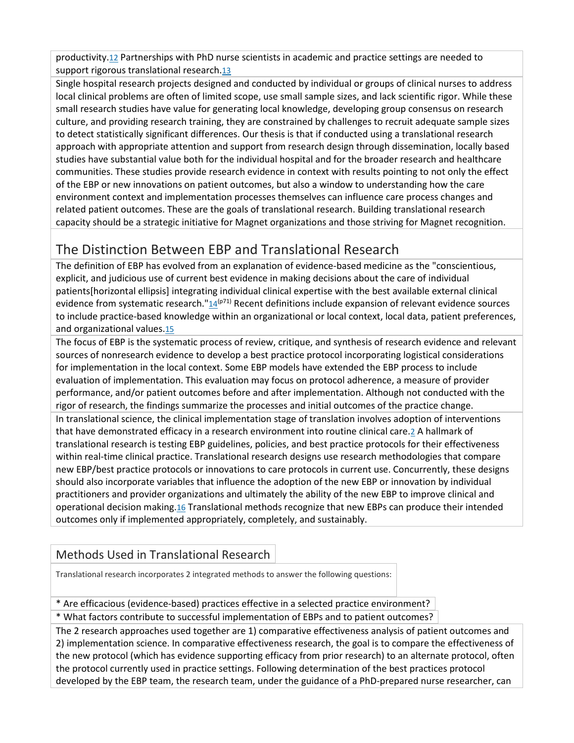productivity[.12](http://ovidsp.dc2.ovid.com/sp-4.02.1a/ovidweb.cgi?QS2=434f4e1a73d37e8c8b4417a0ea17b7da4aa537ebc314ce058e16cd474e7aa58074b0355e33aaf0d05419584349ddd79d2084ca8b9d970512f22d0ca70de9927ee6e7fdacb8c97b0fc357a3997f717b162a5736ceceb32d4969f5be82faa330c19db2d42e244c2fcaac8e03385501a75a02aab232075359542f62561eda5f3b038f44b37cbf664fc057c6a6798ae942585e9d4633df16880d943a64d6ae4faa21255ad60ae4c3120f3160b6adf08cb653c8d70981cc889c092e45d1026f13ddeea05d6487faefa1c94b3d259cda08ec212facf975fd770eadba38996bf2c8638b4ecd6cc9f37197657190888ad2c877072f75d546ed30a379#63) Partnerships with PhD nurse scientists in academic and practice settings are needed to support rigorous translational research[.13](http://ovidsp.dc2.ovid.com/sp-4.02.1a/ovidweb.cgi?QS2=434f4e1a73d37e8c8b4417a0ea17b7da4aa537ebc314ce058e16cd474e7aa58074b0355e33aaf0d05419584349ddd79d2084ca8b9d970512f22d0ca70de9927ee6e7fdacb8c97b0fc357a3997f717b162a5736ceceb32d4969f5be82faa330c19db2d42e244c2fcaac8e03385501a75a02aab232075359542f62561eda5f3b038f44b37cbf664fc057c6a6798ae942585e9d4633df16880d943a64d6ae4faa21255ad60ae4c3120f3160b6adf08cb653c8d70981cc889c092e45d1026f13ddeea05d6487faefa1c94b3d259cda08ec212facf975fd770eadba38996bf2c8638b4ecd6cc9f37197657190888ad2c877072f75d546ed30a379#64)

Single hospital research projects designed and conducted by individual or groups of clinical nurses to address local clinical problems are often of limited scope, use small sample sizes, and lack scientific rigor. While these small research studies have value for generating local knowledge, developing group consensus on research culture, and providing research training, they are constrained by challenges to recruit adequate sample sizes to detect statistically significant differences. Our thesis is that if conducted using a translational research approach with appropriate attention and support from research design through dissemination, locally based studies have substantial value both for the individual hospital and for the broader research and healthcare communities. These studies provide research evidence in context with results pointing to not only the effect of the EBP or new innovations on patient outcomes, but also a window to understanding how the care environment context and implementation processes themselves can influence care process changes and related patient outcomes. These are the goals of translational research. Building translational research capacity should be a strategic initiative for Magnet organizations and those striving for Magnet recognition.

### The Distinction Between EBP and Translational Research

The definition of EBP has evolved from an explanation of evidence-based medicine as the "conscientious, explicit, and judicious use of current best evidence in making decisions about the care of individual patients[horizontal ellipsis] integrating individual clinical expertise with the best available external clinical evidence from systematic research." $14^{(p71)}$  Recent definitions include expansion of relevant evidence sources to include practice-based knowledge within an organizational or local context, local data, patient preferences, and organizational values[.15](http://ovidsp.dc2.ovid.com/sp-4.02.1a/ovidweb.cgi?QS2=434f4e1a73d37e8c8b4417a0ea17b7da4aa537ebc314ce058e16cd474e7aa58074b0355e33aaf0d05419584349ddd79d2084ca8b9d970512f22d0ca70de9927ee6e7fdacb8c97b0fc357a3997f717b162a5736ceceb32d4969f5be82faa330c19db2d42e244c2fcaac8e03385501a75a02aab232075359542f62561eda5f3b038f44b37cbf664fc057c6a6798ae942585e9d4633df16880d943a64d6ae4faa21255ad60ae4c3120f3160b6adf08cb653c8d70981cc889c092e45d1026f13ddeea05d6487faefa1c94b3d259cda08ec212facf975fd770eadba38996bf2c8638b4ecd6cc9f37197657190888ad2c877072f75d546ed30a379#66)

The focus of EBP is the systematic process of review, critique, and synthesis of research evidence and relevant sources of nonresearch evidence to develop a best practice protocol incorporating logistical considerations for implementation in the local context. Some EBP models have extended the EBP process to include evaluation of implementation. This evaluation may focus on protocol adherence, a measure of provider performance, and/or patient outcomes before and after implementation. Although not conducted with the rigor of research, the findings summarize the processes and initial outcomes of the practice change. In translational science, the clinical implementation stage of translation involves adoption of interventions that have demonstrated efficacy in a research environment into routine clinical care[.2](http://ovidsp.dc2.ovid.com/sp-4.02.1a/ovidweb.cgi?QS2=434f4e1a73d37e8c8b4417a0ea17b7da4aa537ebc314ce058e16cd474e7aa58074b0355e33aaf0d05419584349ddd79d2084ca8b9d970512f22d0ca70de9927ee6e7fdacb8c97b0fc357a3997f717b162a5736ceceb32d4969f5be82faa330c19db2d42e244c2fcaac8e03385501a75a02aab232075359542f62561eda5f3b038f44b37cbf664fc057c6a6798ae942585e9d4633df16880d943a64d6ae4faa21255ad60ae4c3120f3160b6adf08cb653c8d70981cc889c092e45d1026f13ddeea05d6487faefa1c94b3d259cda08ec212facf975fd770eadba38996bf2c8638b4ecd6cc9f37197657190888ad2c877072f75d546ed30a379#53) A hallmark of translational research is testing EBP guidelines, policies, and best practice protocols for their effectiveness within real-time clinical practice. Translational research designs use research methodologies that compare

new EBP/best practice protocols or innovations to care protocols in current use. Concurrently, these designs should also incorporate variables that influence the adoption of the new EBP or innovation by individual practitioners and provider organizations and ultimately the ability of the new EBP to improve clinical and operational decision making[.16](http://ovidsp.dc2.ovid.com/sp-4.02.1a/ovidweb.cgi?QS2=434f4e1a73d37e8c8b4417a0ea17b7da4aa537ebc314ce058e16cd474e7aa58074b0355e33aaf0d05419584349ddd79d2084ca8b9d970512f22d0ca70de9927ee6e7fdacb8c97b0fc357a3997f717b162a5736ceceb32d4969f5be82faa330c19db2d42e244c2fcaac8e03385501a75a02aab232075359542f62561eda5f3b038f44b37cbf664fc057c6a6798ae942585e9d4633df16880d943a64d6ae4faa21255ad60ae4c3120f3160b6adf08cb653c8d70981cc889c092e45d1026f13ddeea05d6487faefa1c94b3d259cda08ec212facf975fd770eadba38996bf2c8638b4ecd6cc9f37197657190888ad2c877072f75d546ed30a379#67) Translational methods recognize that new EBPs can produce their intended outcomes only if implemented appropriately, completely, and sustainably.

#### Methods Used in Translational Research

Translational research incorporates 2 integrated methods to answer the following questions:

\* Are efficacious (evidence-based) practices effective in a selected practice environment?

\* What factors contribute to successful implementation of EBPs and to patient outcomes?

The 2 research approaches used together are 1) comparative effectiveness analysis of patient outcomes and 2) implementation science. In comparative effectiveness research, the goal is to compare the effectiveness of the new protocol (which has evidence supporting efficacy from prior research) to an alternate protocol, often the protocol currently used in practice settings. Following determination of the best practices protocol developed by the EBP team, the research team, under the guidance of a PhD-prepared nurse researcher, can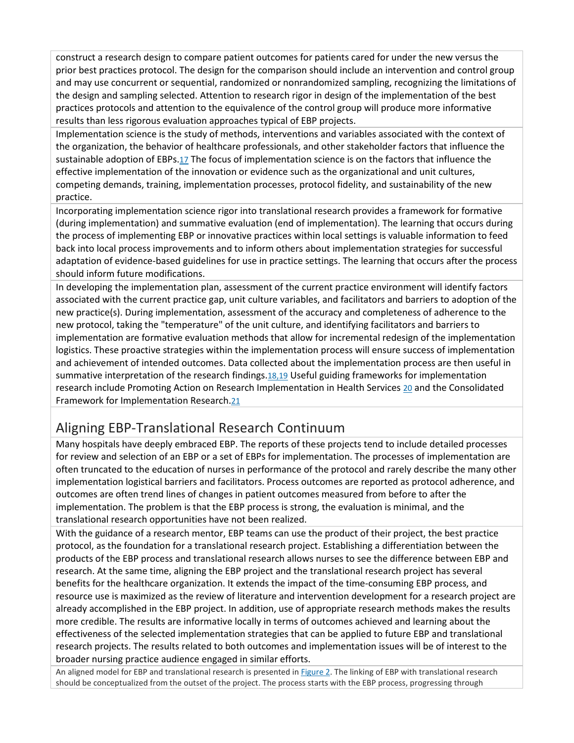construct a research design to compare patient outcomes for patients cared for under the new versus the prior best practices protocol. The design for the comparison should include an intervention and control group and may use concurrent or sequential, randomized or nonrandomized sampling, recognizing the limitations of the design and sampling selected. Attention to research rigor in design of the implementation of the best practices protocols and attention to the equivalence of the control group will produce more informative results than less rigorous evaluation approaches typical of EBP projects.

Implementation science is the study of methods, interventions and variables associated with the context of the organization, the behavior of healthcare professionals, and other stakeholder factors that influence the sustainable adoption of EBPs[.17](http://ovidsp.dc2.ovid.com/sp-4.02.1a/ovidweb.cgi?QS2=434f4e1a73d37e8c8b4417a0ea17b7da4aa537ebc314ce058e16cd474e7aa58074b0355e33aaf0d05419584349ddd79d2084ca8b9d970512f22d0ca70de9927ee6e7fdacb8c97b0fc357a3997f717b162a5736ceceb32d4969f5be82faa330c19db2d42e244c2fcaac8e03385501a75a02aab232075359542f62561eda5f3b038f44b37cbf664fc057c6a6798ae942585e9d4633df16880d943a64d6ae4faa21255ad60ae4c3120f3160b6adf08cb653c8d70981cc889c092e45d1026f13ddeea05d6487faefa1c94b3d259cda08ec212facf975fd770eadba38996bf2c8638b4ecd6cc9f37197657190888ad2c877072f75d546ed30a379#68) The focus of implementation science is on the factors that influence the effective implementation of the innovation or evidence such as the organizational and unit cultures, competing demands, training, implementation processes, protocol fidelity, and sustainability of the new practice.

Incorporating implementation science rigor into translational research provides a framework for formative (during implementation) and summative evaluation (end of implementation). The learning that occurs during the process of implementing EBP or innovative practices within local settings is valuable information to feed back into local process improvements and to inform others about implementation strategies for successful adaptation of evidence-based guidelines for use in practice settings. The learning that occurs after the process should inform future modifications.

In developing the implementation plan, assessment of the current practice environment will identify factors associated with the current practice gap, unit culture variables, and facilitators and barriers to adoption of the new practice(s). During implementation, assessment of the accuracy and completeness of adherence to the new protocol, taking the "temperature" of the unit culture, and identifying facilitators and barriers to implementation are formative evaluation methods that allow for incremental redesign of the implementation logistics. These proactive strategies within the implementation process will ensure success of implementation and achievement of intended outcomes. Data collected about the implementation process are then useful in summative interpretation of the research findings[.18,19](http://ovidsp.dc2.ovid.com/sp-4.02.1a/ovidweb.cgi?QS2=434f4e1a73d37e8c8b4417a0ea17b7da4aa537ebc314ce058e16cd474e7aa58074b0355e33aaf0d05419584349ddd79d2084ca8b9d970512f22d0ca70de9927ee6e7fdacb8c97b0fc357a3997f717b162a5736ceceb32d4969f5be82faa330c19db2d42e244c2fcaac8e03385501a75a02aab232075359542f62561eda5f3b038f44b37cbf664fc057c6a6798ae942585e9d4633df16880d943a64d6ae4faa21255ad60ae4c3120f3160b6adf08cb653c8d70981cc889c092e45d1026f13ddeea05d6487faefa1c94b3d259cda08ec212facf975fd770eadba38996bf2c8638b4ecd6cc9f37197657190888ad2c877072f75d546ed30a379#69) Useful guiding frameworks for implementation research include Promoting Action on Research Implementation in Health Services [20](http://ovidsp.dc2.ovid.com/sp-4.02.1a/ovidweb.cgi?QS2=434f4e1a73d37e8c8b4417a0ea17b7da4aa537ebc314ce058e16cd474e7aa58074b0355e33aaf0d05419584349ddd79d2084ca8b9d970512f22d0ca70de9927ee6e7fdacb8c97b0fc357a3997f717b162a5736ceceb32d4969f5be82faa330c19db2d42e244c2fcaac8e03385501a75a02aab232075359542f62561eda5f3b038f44b37cbf664fc057c6a6798ae942585e9d4633df16880d943a64d6ae4faa21255ad60ae4c3120f3160b6adf08cb653c8d70981cc889c092e45d1026f13ddeea05d6487faefa1c94b3d259cda08ec212facf975fd770eadba38996bf2c8638b4ecd6cc9f37197657190888ad2c877072f75d546ed30a379#71) and the Consolidated Framework for Implementation Research[.21](http://ovidsp.dc2.ovid.com/sp-4.02.1a/ovidweb.cgi?QS2=434f4e1a73d37e8c8b4417a0ea17b7da4aa537ebc314ce058e16cd474e7aa58074b0355e33aaf0d05419584349ddd79d2084ca8b9d970512f22d0ca70de9927ee6e7fdacb8c97b0fc357a3997f717b162a5736ceceb32d4969f5be82faa330c19db2d42e244c2fcaac8e03385501a75a02aab232075359542f62561eda5f3b038f44b37cbf664fc057c6a6798ae942585e9d4633df16880d943a64d6ae4faa21255ad60ae4c3120f3160b6adf08cb653c8d70981cc889c092e45d1026f13ddeea05d6487faefa1c94b3d259cda08ec212facf975fd770eadba38996bf2c8638b4ecd6cc9f37197657190888ad2c877072f75d546ed30a379#72)

## Aligning EBP-Translational Research Continuum

Many hospitals have deeply embraced EBP. The reports of these projects tend to include detailed processes for review and selection of an EBP or a set of EBPs for implementation. The processes of implementation are often truncated to the education of nurses in performance of the protocol and rarely describe the many other implementation logistical barriers and facilitators. Process outcomes are reported as protocol adherence, and outcomes are often trend lines of changes in patient outcomes measured from before to after the implementation. The problem is that the EBP process is strong, the evaluation is minimal, and the translational research opportunities have not been realized.

With the guidance of a research mentor, EBP teams can use the product of their project, the best practice protocol, as the foundation for a translational research project. Establishing a differentiation between the products of the EBP process and translational research allows nurses to see the difference between EBP and research. At the same time, aligning the EBP project and the translational research project has several benefits for the healthcare organization. It extends the impact of the time-consuming EBP process, and resource use is maximized as the review of literature and intervention development for a research project are already accomplished in the EBP project. In addition, use of appropriate research methods makes the results more credible. The results are informative locally in terms of outcomes achieved and learning about the effectiveness of the selected implementation strategies that can be applied to future EBP and translational research projects. The results related to both outcomes and implementation issues will be of interest to the broader nursing practice audience engaged in similar efforts.

An aligned model for EBP and translational research is presented in [Figure 2.](http://ovidsp.dc2.ovid.com/sp-4.02.1a/ovidweb.cgi?QS2=434f4e1a73d37e8c8b4417a0ea17b7da4aa537ebc314ce058e16cd474e7aa58074b0355e33aaf0d05419584349ddd79d2084ca8b9d970512f22d0ca70de9927ee6e7fdacb8c97b0fc357a3997f717b162a5736ceceb32d4969f5be82faa330c19db2d42e244c2fcaac8e03385501a75a02aab232075359542f62561eda5f3b038f44b37cbf664fc057c6a6798ae942585e9d4633df16880d943a64d6ae4faa21255ad60ae4c3120f3160b6adf08cb653c8d70981cc889c092e45d1026f13ddeea05d6487faefa1c94b3d259cda08ec212facf975fd770eadba38996bf2c8638b4ecd6cc9f37197657190888ad2c877072f75d546ed30a379#FF2) The linking of EBP with translational research should be conceptualized from the outset of the project. The process starts with the EBP process, progressing through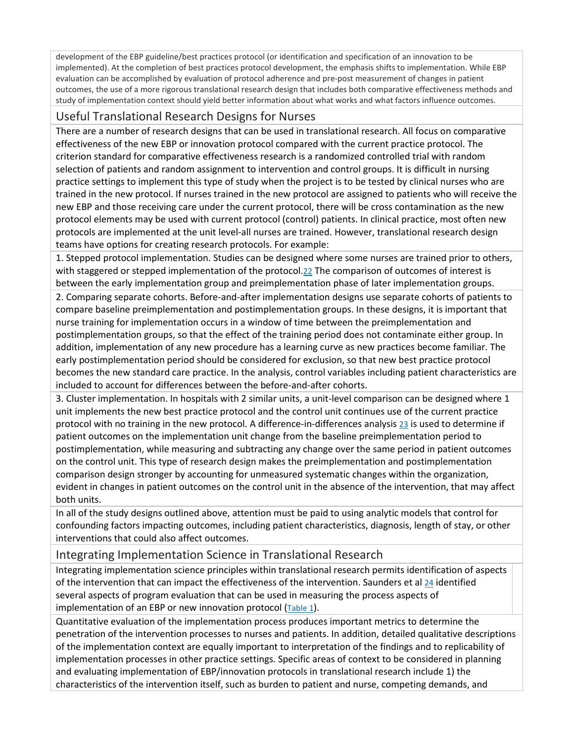development of the EBP guideline/best practices protocol (or identification and specification of an innovation to be implemented). At the completion of best practices protocol development, the emphasis shifts to implementation. While EBP evaluation can be accomplished by evaluation of protocol adherence and pre-post measurement of changes in patient outcomes, the use of a more rigorous translational research design that includes both comparative effectiveness methods and study of implementation context should yield better information about what works and what factors influence outcomes.

#### Useful Translational Research Designs for Nurses

There are a number of research designs that can be used in translational research. All focus on comparative effectiveness of the new EBP or innovation protocol compared with the current practice protocol. The criterion standard for comparative effectiveness research is a randomized controlled trial with random selection of patients and random assignment to intervention and control groups. It is difficult in nursing practice settings to implement this type of study when the project is to be tested by clinical nurses who are trained in the new protocol. If nurses trained in the new protocol are assigned to patients who will receive the new EBP and those receiving care under the current protocol, there will be cross contamination as the new protocol elements may be used with current protocol (control) patients. In clinical practice, most often new protocols are implemented at the unit level-all nurses are trained. However, translational research design teams have options for creating research protocols. For example:

1. Stepped protocol implementation. Studies can be designed where some nurses are trained prior to others, with staggered or stepped implementation of the protocol[.22](http://ovidsp.dc2.ovid.com/sp-4.02.1a/ovidweb.cgi?QS2=434f4e1a73d37e8c8b4417a0ea17b7da4aa537ebc314ce058e16cd474e7aa58074b0355e33aaf0d05419584349ddd79d2084ca8b9d970512f22d0ca70de9927ee6e7fdacb8c97b0fc357a3997f717b162a5736ceceb32d4969f5be82faa330c19db2d42e244c2fcaac8e03385501a75a02aab232075359542f62561eda5f3b038f44b37cbf664fc057c6a6798ae942585e9d4633df16880d943a64d6ae4faa21255ad60ae4c3120f3160b6adf08cb653c8d70981cc889c092e45d1026f13ddeea05d6487faefa1c94b3d259cda08ec212facf975fd770eadba38996bf2c8638b4ecd6cc9f37197657190888ad2c877072f75d546ed30a379#73) The comparison of outcomes of interest is between the early implementation group and preimplementation phase of later implementation groups. 2. Comparing separate cohorts. Before-and-after implementation designs use separate cohorts of patients to compare baseline preimplementation and postimplementation groups. In these designs, it is important that nurse training for implementation occurs in a window of time between the preimplementation and

postimplementation groups, so that the effect of the training period does not contaminate either group. In addition, implementation of any new procedure has a learning curve as new practices become familiar. The early postimplementation period should be considered for exclusion, so that new best practice protocol becomes the new standard care practice. In the analysis, control variables including patient characteristics are included to account for differences between the before-and-after cohorts.

3. Cluster implementation. In hospitals with 2 similar units, a unit-level comparison can be designed where 1 unit implements the new best practice protocol and the control unit continues use of the current practice protocol with no training in the new protocol. A difference-in-differences analysis [23](http://ovidsp.dc2.ovid.com/sp-4.02.1a/ovidweb.cgi?QS2=434f4e1a73d37e8c8b4417a0ea17b7da4aa537ebc314ce058e16cd474e7aa58074b0355e33aaf0d05419584349ddd79d2084ca8b9d970512f22d0ca70de9927ee6e7fdacb8c97b0fc357a3997f717b162a5736ceceb32d4969f5be82faa330c19db2d42e244c2fcaac8e03385501a75a02aab232075359542f62561eda5f3b038f44b37cbf664fc057c6a6798ae942585e9d4633df16880d943a64d6ae4faa21255ad60ae4c3120f3160b6adf08cb653c8d70981cc889c092e45d1026f13ddeea05d6487faefa1c94b3d259cda08ec212facf975fd770eadba38996bf2c8638b4ecd6cc9f37197657190888ad2c877072f75d546ed30a379#74) is used to determine if patient outcomes on the implementation unit change from the baseline preimplementation period to postimplementation, while measuring and subtracting any change over the same period in patient outcomes on the control unit. This type of research design makes the preimplementation and postimplementation comparison design stronger by accounting for unmeasured systematic changes within the organization, evident in changes in patient outcomes on the control unit in the absence of the intervention, that may affect both units.

In all of the study designs outlined above, attention must be paid to using analytic models that control for confounding factors impacting outcomes, including patient characteristics, diagnosis, length of stay, or other interventions that could also affect outcomes.

#### Integrating Implementation Science in Translational Research

Integrating implementation science principles within translational research permits identification of aspects of the intervention that can impact the effectiveness of the intervention. Saunders et al  $24$  identified several aspects of program evaluation that can be used in measuring the process aspects of implementation of an EBP or new innovation protocol  $(Table 1)$ .

Quantitative evaluation of the implementation process produces important metrics to determine the penetration of the intervention processes to nurses and patients. In addition, detailed qualitative descriptions of the implementation context are equally important to interpretation of the findings and to replicability of implementation processes in other practice settings. Specific areas of context to be considered in planning and evaluating implementation of EBP/innovation protocols in translational research include 1) the characteristics of the intervention itself, such as burden to patient and nurse, competing demands, and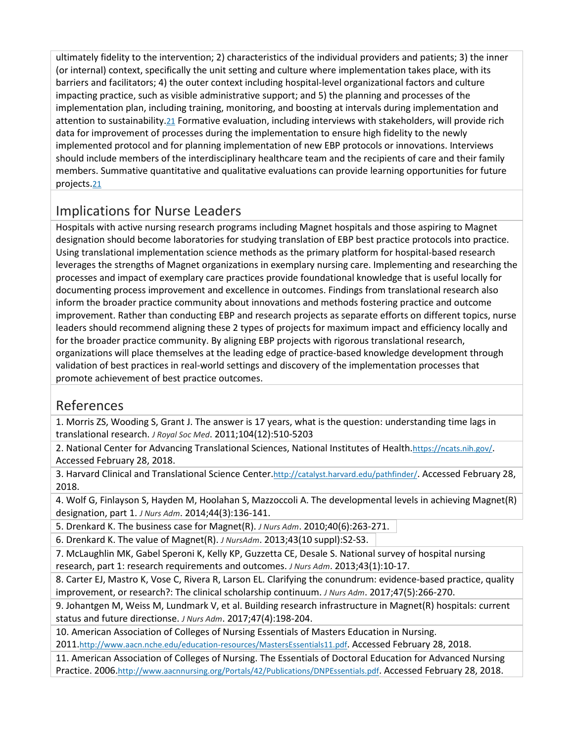ultimately fidelity to the intervention; 2) characteristics of the individual providers and patients; 3) the inner (or internal) context, specifically the unit setting and culture where implementation takes place, with its barriers and facilitators; 4) the outer context including hospital-level organizational factors and culture impacting practice, such as visible administrative support; and 5) the planning and processes of the implementation plan, including training, monitoring, and boosting at intervals during implementation and attention to sustainability[.21](http://ovidsp.dc2.ovid.com/sp-4.02.1a/ovidweb.cgi?QS2=434f4e1a73d37e8c8b4417a0ea17b7da4aa537ebc314ce058e16cd474e7aa58074b0355e33aaf0d05419584349ddd79d2084ca8b9d970512f22d0ca70de9927ee6e7fdacb8c97b0fc357a3997f717b162a5736ceceb32d4969f5be82faa330c19db2d42e244c2fcaac8e03385501a75a02aab232075359542f62561eda5f3b038f44b37cbf664fc057c6a6798ae942585e9d4633df16880d943a64d6ae4faa21255ad60ae4c3120f3160b6adf08cb653c8d70981cc889c092e45d1026f13ddeea05d6487faefa1c94b3d259cda08ec212facf975fd770eadba38996bf2c8638b4ecd6cc9f37197657190888ad2c877072f75d546ed30a379#72) Formative evaluation, including interviews with stakeholders, will provide rich data for improvement of processes during the implementation to ensure high fidelity to the newly implemented protocol and for planning implementation of new EBP protocols or innovations. Interviews should include members of the interdisciplinary healthcare team and the recipients of care and their family members. Summative quantitative and qualitative evaluations can provide learning opportunities for future projects[.21](http://ovidsp.dc2.ovid.com/sp-4.02.1a/ovidweb.cgi?QS2=434f4e1a73d37e8c8b4417a0ea17b7da4aa537ebc314ce058e16cd474e7aa58074b0355e33aaf0d05419584349ddd79d2084ca8b9d970512f22d0ca70de9927ee6e7fdacb8c97b0fc357a3997f717b162a5736ceceb32d4969f5be82faa330c19db2d42e244c2fcaac8e03385501a75a02aab232075359542f62561eda5f3b038f44b37cbf664fc057c6a6798ae942585e9d4633df16880d943a64d6ae4faa21255ad60ae4c3120f3160b6adf08cb653c8d70981cc889c092e45d1026f13ddeea05d6487faefa1c94b3d259cda08ec212facf975fd770eadba38996bf2c8638b4ecd6cc9f37197657190888ad2c877072f75d546ed30a379#72)

## Implications for Nurse Leaders

Hospitals with active nursing research programs including Magnet hospitals and those aspiring to Magnet designation should become laboratories for studying translation of EBP best practice protocols into practice. Using translational implementation science methods as the primary platform for hospital-based research leverages the strengths of Magnet organizations in exemplary nursing care. Implementing and researching the processes and impact of exemplary care practices provide foundational knowledge that is useful locally for documenting process improvement and excellence in outcomes. Findings from translational research also inform the broader practice community about innovations and methods fostering practice and outcome improvement. Rather than conducting EBP and research projects as separate efforts on different topics, nurse leaders should recommend aligning these 2 types of projects for maximum impact and efficiency locally and for the broader practice community. By aligning EBP projects with rigorous translational research, organizations will place themselves at the leading edge of practice-based knowledge development through validation of best practices in real-world settings and discovery of the implementation processes that promote achievement of best practice outcomes.

#### References

1. Morris ZS, Wooding S, Grant J. The answer is 17 years, what is the question: understanding time lags in translational research. *J Royal Soc Med*. 2011;104(12):510-5203

2. National Center for Advancing Translational Sciences, National Institutes of Health[.https://ncats.nih.gov/.](https://ncats.nih.gov/) Accessed February 28, 2018.

3. Harvard Clinical and Translational Science Cente[r.http://catalyst.harvard.edu/pathfinder/.](http://catalyst.harvard.edu/pathfinder/) Accessed February 28, 2018.

4. Wolf G, Finlayson S, Hayden M, Hoolahan S, Mazzoccoli A. The developmental levels in achieving Magnet(R) designation, part 1. *J Nurs Adm*. 2014;44(3):136-141.

5. Drenkard K. The business case for Magnet(R). *J Nurs Adm*. 2010;40(6):263-271.

6. Drenkard K. The value of Magnet(R). *J NursAdm*. 2013;43(10 suppl):S2-S3.

7. McLaughlin MK, Gabel Speroni K, Kelly KP, Guzzetta CE, Desale S. National survey of hospital nursing research, part 1: research requirements and outcomes. *J Nurs Adm*. 2013;43(1):10-17.

8. Carter EJ, Mastro K, Vose C, Rivera R, Larson EL. Clarifying the conundrum: evidence-based practice, quality improvement, or research?: The clinical scholarship continuum. *J Nurs Adm*. 2017;47(5):266-270.

9. Johantgen M, Weiss M, Lundmark V, et al. Building research infrastructure in Magnet(R) hospitals: current status and future directionse. *J Nurs Adm*. 2017;47(4):198-204.

10. American Association of Colleges of Nursing Essentials of Masters Education in Nursing. 201[1.http://www.aacn.nche.edu/education-resources/MastersEssentials11.pdf.](http://www.aacn.nche.edu/education-resources/MastersEssentials11.pdf) Accessed February 28, 2018.

11. American Association of Colleges of Nursing. The Essentials of Doctoral Education for Advanced Nursing Practice. 2006[.http://www.aacnnursing.org/Portals/42/Publications/DNPEssentials.pdf.](http://www.aacnnursing.org/Portals/42/Publications/DNPEssentials.pdf) Accessed February 28, 2018.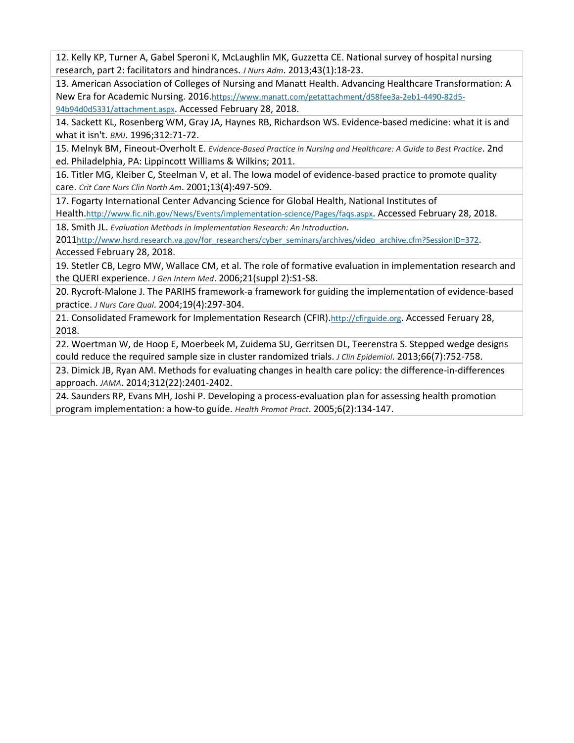12. Kelly KP, Turner A, Gabel Speroni K, McLaughlin MK, Guzzetta CE. National survey of hospital nursing research, part 2: facilitators and hindrances. *J Nurs Adm*. 2013;43(1):18-23.

13. American Association of Colleges of Nursing and Manatt Health. Advancing Healthcare Transformation: A New Era for Academic Nursing. 2016[.https://www.manatt.com/getattachment/d58fee3a-2eb1-4490-82d5-](https://www.manatt.com/getattachment/d58fee3a-2eb1-4490-82d5-94b94d0d5331/attachment.aspx) [94b94d0d5331/attachment.aspx.](https://www.manatt.com/getattachment/d58fee3a-2eb1-4490-82d5-94b94d0d5331/attachment.aspx) Accessed February 28, 2018.

14. Sackett KL, Rosenberg WM, Gray JA, Haynes RB, Richardson WS. Evidence-based medicine: what it is and what it isn't. *BMJ*. 1996;312:71-72.

15. Melnyk BM, Fineout-Overholt E. *Evidence-Based Practice in Nursing and Healthcare: A Guide to Best Practice*. 2nd ed. Philadelphia, PA: Lippincott Williams & Wilkins; 2011.

16. Titler MG, Kleiber C, Steelman V, et al. The Iowa model of evidence-based practice to promote quality care. *Crit Care Nurs Clin North Am*. 2001;13(4):497-509.

17. Fogarty International Center Advancing Science for Global Health, National Institutes of

Health[.http://www.fic.nih.gov/News/Events/implementation-science/Pages/faqs.aspx.](http://www.fic.nih.gov/News/Events/implementation-science/Pages/faqs.aspx) Accessed February 28, 2018.

18. Smith JL. *Evaluation Methods in Implementation Research: An Introduction*.

201[1http://www.hsrd.research.va.gov/for\\_researchers/cyber\\_seminars/archives/video\\_archive.cfm?SessionID=372.](http://www.hsrd.research.va.gov/for_researchers/cyber_seminars/archives/video_archive.cfm?SessionID=372) Accessed February 28, 2018.

19. Stetler CB, Legro MW, Wallace CM, et al. The role of formative evaluation in implementation research and the QUERI experience. *J Gen Intern Med*. 2006;21(suppl 2):S1-S8.

20. Rycroft-Malone J. The PARIHS framework-a framework for guiding the implementation of evidence-based practice. *J Nurs Care Qual*. 2004;19(4):297-304.

21. Consolidated Framework for Implementation Research (CFIR)[.http://cfirguide.org.](http://cfirguide.org/) Accessed Feruary 28, 2018.

22. Woertman W, de Hoop E, Moerbeek M, Zuidema SU, Gerritsen DL, Teerenstra S. Stepped wedge designs could reduce the required sample size in cluster randomized trials. *J Clin Epidemiol*. 2013;66(7):752-758.

23. Dimick JB, Ryan AM. Methods for evaluating changes in health care policy: the difference-in-differences approach. *JAMA*. 2014;312(22):2401-2402.

24. Saunders RP, Evans MH, Joshi P. Developing a process-evaluation plan for assessing health promotion program implementation: a how-to guide. *Health Promot Pract*. 2005;6(2):134-147.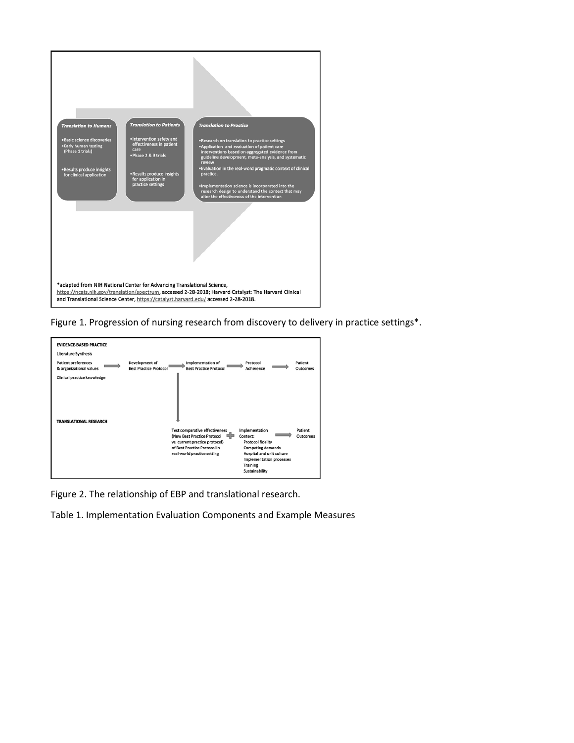

Figure 1. Progression of nursing research from discovery to delivery in practice settings\*.



Figure 2. The relationship of EBP and translational research.

Table 1. Implementation Evaluation Components and Example Measures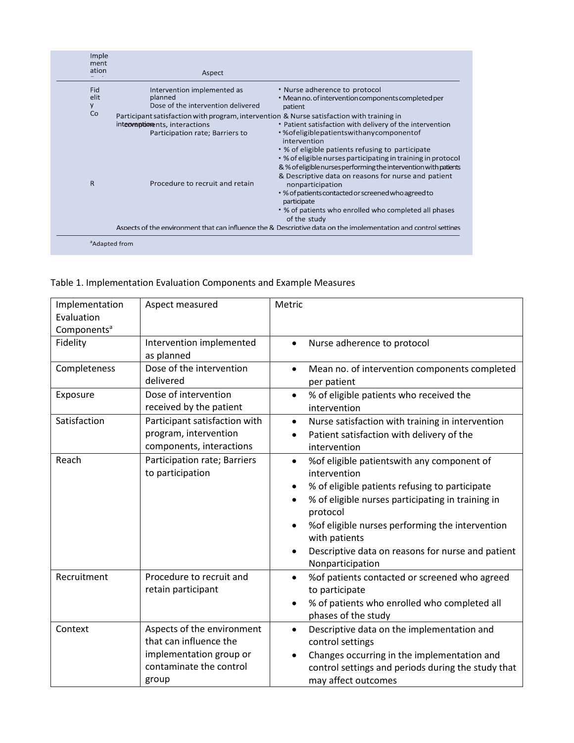| Imple<br>ment<br>ation | Aspect                                                                                                                                                         |                                                                                                                                                                                                                                                                                                                                                                           |
|------------------------|----------------------------------------------------------------------------------------------------------------------------------------------------------------|---------------------------------------------------------------------------------------------------------------------------------------------------------------------------------------------------------------------------------------------------------------------------------------------------------------------------------------------------------------------------|
| Fid<br>elit<br>y       | Intervention implemented as<br>planned<br>Dose of the intervention delivered                                                                                   | • Nurse adherence to protocol<br>• Mean no. of intervention components completed per<br>patient                                                                                                                                                                                                                                                                           |
| Co                     | Participant satisfaction with program, intervention & Nurse satisfaction with training in<br>interventionents, interactions<br>Participation rate; Barriers to | • Patient satisfaction with delivery of the intervention<br>• % of eligible patients with any component of<br>intervention<br>• % of eligible patients refusing to participate<br>• % of eligible nurses participating in training in protocol<br>& % of eligible nurses performing the intervention with patients<br>& Descriptive data on reasons for nurse and patient |
| $\mathsf{R}$           | Procedure to recruit and retain                                                                                                                                | nonparticipation<br>. % of patients contacted or screened who agreed to<br>participate<br>• % of patients who enrolled who completed all phases<br>of the study                                                                                                                                                                                                           |
|                        | Aspects of the environment that can influence the & Descriptive data on the implementation and control settings                                                |                                                                                                                                                                                                                                                                                                                                                                           |

Table 1. Implementation Evaluation Components and Example Measures

| Implementation<br>Evaluation<br>Components <sup>a</sup> | Aspect measured                                                                                                     | Metric                                                                                                                                                                                                                                                                                                                                                       |
|---------------------------------------------------------|---------------------------------------------------------------------------------------------------------------------|--------------------------------------------------------------------------------------------------------------------------------------------------------------------------------------------------------------------------------------------------------------------------------------------------------------------------------------------------------------|
| Fidelity                                                | Intervention implemented<br>as planned                                                                              | Nurse adherence to protocol<br>$\bullet$                                                                                                                                                                                                                                                                                                                     |
| Completeness                                            | Dose of the intervention<br>delivered                                                                               | Mean no. of intervention components completed<br>$\bullet$<br>per patient                                                                                                                                                                                                                                                                                    |
| Exposure                                                | Dose of intervention<br>received by the patient                                                                     | % of eligible patients who received the<br>$\bullet$<br>intervention                                                                                                                                                                                                                                                                                         |
| Satisfaction                                            | Participant satisfaction with<br>program, intervention<br>components, interactions                                  | Nurse satisfaction with training in intervention<br>$\bullet$<br>Patient satisfaction with delivery of the<br>$\bullet$<br>intervention                                                                                                                                                                                                                      |
| Reach                                                   | Participation rate; Barriers<br>to participation                                                                    | % of eligible patients with any component of<br>$\bullet$<br>intervention<br>% of eligible patients refusing to participate<br>٠<br>% of eligible nurses participating in training in<br>$\bullet$<br>protocol<br>% of eligible nurses performing the intervention<br>with patients<br>Descriptive data on reasons for nurse and patient<br>Nonparticipation |
| Recruitment                                             | Procedure to recruit and<br>retain participant                                                                      | % of patients contacted or screened who agreed<br>$\bullet$<br>to participate<br>% of patients who enrolled who completed all<br>$\bullet$<br>phases of the study                                                                                                                                                                                            |
| Context                                                 | Aspects of the environment<br>that can influence the<br>implementation group or<br>contaminate the control<br>group | Descriptive data on the implementation and<br>$\bullet$<br>control settings<br>Changes occurring in the implementation and<br>$\bullet$<br>control settings and periods during the study that<br>may affect outcomes                                                                                                                                         |